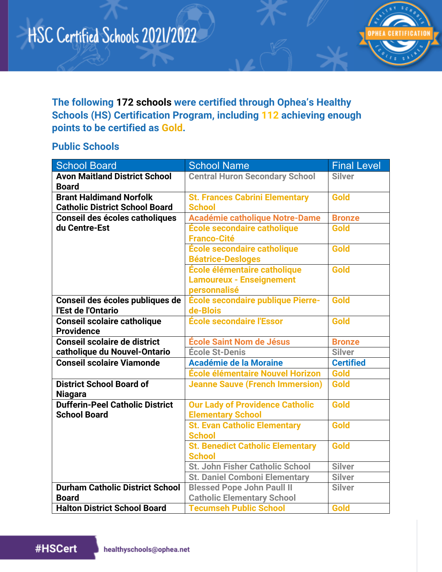

**The following 172 schools were certified through Ophea's Healthy Schools (HS) Certification Program, including 112 achieving enough points to be certified as Gold.**

#### **Public Schools**

| <b>School Board</b>                                                     | <b>School Name</b>                                                              | <b>Final Level</b> |
|-------------------------------------------------------------------------|---------------------------------------------------------------------------------|--------------------|
| <b>Avon Maitland District School</b><br><b>Board</b>                    | <b>Central Huron Secondary School</b>                                           | <b>Silver</b>      |
| <b>Brant Haldimand Norfolk</b><br><b>Catholic District School Board</b> | <b>St. Frances Cabrini Elementary</b><br><b>School</b>                          | Gold               |
| Conseil des écoles catholiques                                          | <b>Académie catholique Notre-Dame</b>                                           | <b>Bronze</b>      |
| du Centre-Est                                                           | École secondaire catholique<br><b>Franco-Cité</b>                               | Gold               |
|                                                                         | École secondaire catholique<br><b>Béatrice-Desloges</b>                         | Gold               |
|                                                                         | École élémentaire catholique<br><b>Lamoureux - Enseignement</b><br>personnalisé | Gold               |
| Conseil des écoles publiques de<br>l'Est de l'Ontario                   | École secondaire publique Pierre-<br>de-Blois                                   | Gold               |
| <b>Conseil scolaire catholique</b><br><b>Providence</b>                 | <b>École secondaire l'Essor</b>                                                 | Gold               |
| <b>Conseil scolaire de district</b>                                     | <b>École Saint Nom de Jésus</b>                                                 | <b>Bronze</b>      |
| catholique du Nouvel-Ontario                                            | <b>École St-Denis</b>                                                           | <b>Silver</b>      |
| Conseil scolaire Viamonde                                               | <b>Académie de la Moraine</b>                                                   | <b>Certified</b>   |
|                                                                         | École élémentaire Nouvel Horizon                                                | Gold               |
| <b>District School Board of</b><br><b>Niagara</b>                       | <b>Jeanne Sauve (French Immersion)</b>                                          | Gold               |
| <b>Dufferin-Peel Catholic District</b><br><b>School Board</b>           | <b>Our Lady of Providence Catholic</b><br><b>Elementary School</b>              | Gold               |
|                                                                         | <b>St. Evan Catholic Elementary</b><br><b>School</b>                            | Gold               |
|                                                                         | <b>St. Benedict Catholic Elementary</b><br><b>School</b>                        | Gold               |
|                                                                         | St. John Fisher Catholic School                                                 | <b>Silver</b>      |
|                                                                         | <b>St. Daniel Comboni Elementary</b>                                            | <b>Silver</b>      |
| <b>Durham Catholic District School</b>                                  | <b>Blessed Pope John Paull II</b>                                               | <b>Silver</b>      |
| <b>Board</b>                                                            | <b>Catholic Elementary School</b>                                               |                    |
| <b>Halton District School Board</b>                                     | <b>Tecumseh Public School</b>                                                   | Gold               |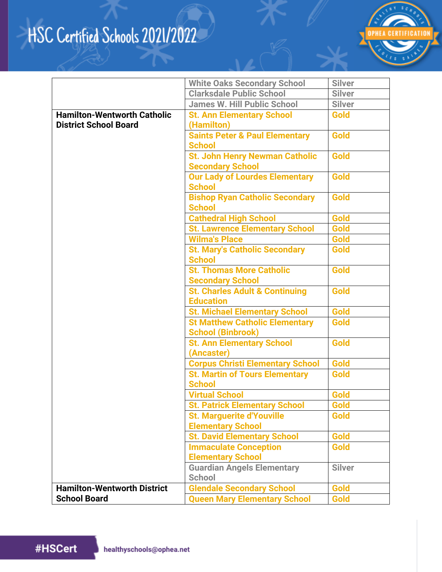

|                                                                    | <b>White Oaks Secondary School</b>                                | <b>Silver</b> |
|--------------------------------------------------------------------|-------------------------------------------------------------------|---------------|
|                                                                    | <b>Clarksdale Public School</b>                                   | <b>Silver</b> |
|                                                                    | <b>James W. Hill Public School</b>                                | <b>Silver</b> |
| <b>Hamilton-Wentworth Catholic</b><br><b>District School Board</b> | <b>St. Ann Elementary School</b><br>(Hamilton)                    | <b>Gold</b>   |
|                                                                    | <b>Saints Peter &amp; Paul Elementary</b><br><b>School</b>        | <b>Gold</b>   |
|                                                                    | <b>St. John Henry Newman Catholic</b><br><b>Secondary School</b>  | <b>Gold</b>   |
|                                                                    | <b>Our Lady of Lourdes Elementary</b><br><b>School</b>            | Gold          |
|                                                                    | <b>Bishop Ryan Catholic Secondary</b><br><b>School</b>            | <b>Gold</b>   |
|                                                                    | <b>Cathedral High School</b>                                      | Gold          |
|                                                                    | <b>St. Lawrence Elementary School</b>                             | <b>Gold</b>   |
|                                                                    | <b>Wilma's Place</b>                                              | Gold          |
|                                                                    | <b>St. Mary's Catholic Secondary</b><br><b>School</b>             | <b>Gold</b>   |
|                                                                    | <b>St. Thomas More Catholic</b><br><b>Secondary School</b>        | Gold          |
|                                                                    | <b>St. Charles Adult &amp; Continuing</b><br><b>Education</b>     | <b>Gold</b>   |
|                                                                    | <b>St. Michael Elementary School</b>                              | Gold          |
|                                                                    | <b>St Matthew Catholic Elementary</b><br><b>School (Binbrook)</b> | <b>Gold</b>   |
|                                                                    | <b>St. Ann Elementary School</b><br>(Ancaster)                    | <b>Gold</b>   |
|                                                                    | <b>Corpus Christi Elementary School</b>                           | Gold          |
|                                                                    | <b>St. Martin of Tours Elementary</b><br><b>School</b>            | <b>Gold</b>   |
|                                                                    | <b>Virtual School</b>                                             | Gold          |
|                                                                    | <b>St. Patrick Elementary School</b>                              | Gold          |
|                                                                    | <b>St. Marquerite d'Youville</b><br><b>Elementary School</b>      | Gold          |
|                                                                    | <b>St. David Elementary School</b>                                | Gold          |
|                                                                    | <b>Immaculate Conception</b>                                      | Gold          |
|                                                                    | <b>Elementary School</b>                                          |               |
|                                                                    | <b>Guardian Angels Elementary</b><br><b>School</b>                | <b>Silver</b> |
| <b>Hamilton-Wentworth District</b>                                 | <b>Glendale Secondary School</b>                                  | Gold          |
| <b>School Board</b>                                                | <b>Queen Mary Elementary School</b>                               | Gold          |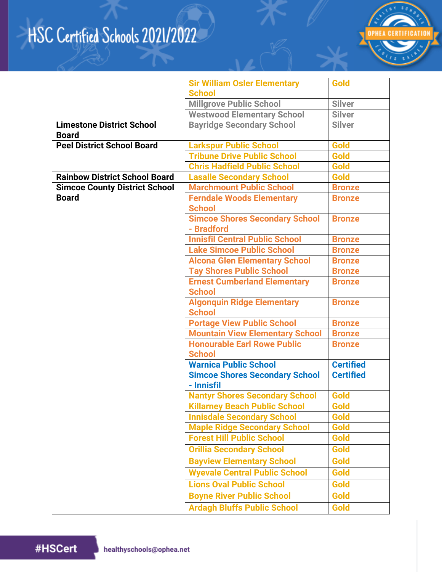

| <b>Millgrove Public School</b><br><b>Silver</b><br><b>Silver</b><br><b>Westwood Elementary School</b><br><b>Limestone District School</b><br><b>Bayridge Secondary School</b><br><b>Silver</b><br><b>Board</b><br><b>Larkspur Public School</b><br>Gold<br><b>Peel District School Board</b><br><b>Gold</b><br><b>Tribune Drive Public School</b><br><b>Chris Hadfield Public School</b><br>Gold<br><b>Rainbow District School Board</b><br>Gold<br><b>Lasalle Secondary School</b><br><b>Marchmount Public School</b><br><b>Simcoe County District School</b><br><b>Bronze</b><br><b>Board</b><br><b>Ferndale Woods Elementary</b><br><b>Bronze</b><br><b>School</b><br><b>Simcoe Shores Secondary School</b><br><b>Bronze</b><br>- Bradford<br><b>Innisfil Central Public School</b><br><b>Bronze</b><br><b>Lake Simcoe Public School</b><br><b>Bronze</b><br><b>Alcona Glen Elementary School</b><br><b>Bronze</b><br><b>Tay Shores Public School</b><br><b>Bronze</b><br><b>Ernest Cumberland Elementary</b><br><b>Bronze</b><br><b>School</b><br><b>Algonquin Ridge Elementary</b><br><b>Bronze</b><br><b>School</b><br><b>Portage View Public School</b><br><b>Bronze</b><br><b>Mountain View Elementary School</b><br><b>Bronze</b><br><b>Honourable Earl Rowe Public</b><br><b>Bronze</b><br><b>School</b><br><b>Warnica Public School</b><br><b>Certified</b><br><b>Certified</b><br><b>Simcoe Shores Secondary School</b><br>- Innisfil<br><b>Nantyr Shores Secondary School</b><br>Gold<br><b>Killarney Beach Public School</b><br>Gold<br><b>Innisdale Secondary School</b><br>Gold<br>Gold<br><b>Maple Ridge Secondary School</b><br><b>Forest Hill Public School</b><br>Gold<br>Gold<br><b>Orillia Secondary School</b><br>Gold<br><b>Bayview Elementary School</b><br><b>Wyevale Central Public School</b><br><b>Gold</b><br><b>Lions Oval Public School</b><br>Gold<br><b>Boyne River Public School</b><br>Gold | <b>Sir William Osler Elementary</b> | Gold |
|---------------------------------------------------------------------------------------------------------------------------------------------------------------------------------------------------------------------------------------------------------------------------------------------------------------------------------------------------------------------------------------------------------------------------------------------------------------------------------------------------------------------------------------------------------------------------------------------------------------------------------------------------------------------------------------------------------------------------------------------------------------------------------------------------------------------------------------------------------------------------------------------------------------------------------------------------------------------------------------------------------------------------------------------------------------------------------------------------------------------------------------------------------------------------------------------------------------------------------------------------------------------------------------------------------------------------------------------------------------------------------------------------------------------------------------------------------------------------------------------------------------------------------------------------------------------------------------------------------------------------------------------------------------------------------------------------------------------------------------------------------------------------------------------------------------------------------------------------------------------------------------------------------------------------------|-------------------------------------|------|
|                                                                                                                                                                                                                                                                                                                                                                                                                                                                                                                                                                                                                                                                                                                                                                                                                                                                                                                                                                                                                                                                                                                                                                                                                                                                                                                                                                                                                                                                                                                                                                                                                                                                                                                                                                                                                                                                                                                                 | <b>School</b>                       |      |
|                                                                                                                                                                                                                                                                                                                                                                                                                                                                                                                                                                                                                                                                                                                                                                                                                                                                                                                                                                                                                                                                                                                                                                                                                                                                                                                                                                                                                                                                                                                                                                                                                                                                                                                                                                                                                                                                                                                                 |                                     |      |
|                                                                                                                                                                                                                                                                                                                                                                                                                                                                                                                                                                                                                                                                                                                                                                                                                                                                                                                                                                                                                                                                                                                                                                                                                                                                                                                                                                                                                                                                                                                                                                                                                                                                                                                                                                                                                                                                                                                                 |                                     |      |
|                                                                                                                                                                                                                                                                                                                                                                                                                                                                                                                                                                                                                                                                                                                                                                                                                                                                                                                                                                                                                                                                                                                                                                                                                                                                                                                                                                                                                                                                                                                                                                                                                                                                                                                                                                                                                                                                                                                                 |                                     |      |
|                                                                                                                                                                                                                                                                                                                                                                                                                                                                                                                                                                                                                                                                                                                                                                                                                                                                                                                                                                                                                                                                                                                                                                                                                                                                                                                                                                                                                                                                                                                                                                                                                                                                                                                                                                                                                                                                                                                                 |                                     |      |
|                                                                                                                                                                                                                                                                                                                                                                                                                                                                                                                                                                                                                                                                                                                                                                                                                                                                                                                                                                                                                                                                                                                                                                                                                                                                                                                                                                                                                                                                                                                                                                                                                                                                                                                                                                                                                                                                                                                                 |                                     |      |
|                                                                                                                                                                                                                                                                                                                                                                                                                                                                                                                                                                                                                                                                                                                                                                                                                                                                                                                                                                                                                                                                                                                                                                                                                                                                                                                                                                                                                                                                                                                                                                                                                                                                                                                                                                                                                                                                                                                                 |                                     |      |
|                                                                                                                                                                                                                                                                                                                                                                                                                                                                                                                                                                                                                                                                                                                                                                                                                                                                                                                                                                                                                                                                                                                                                                                                                                                                                                                                                                                                                                                                                                                                                                                                                                                                                                                                                                                                                                                                                                                                 |                                     |      |
|                                                                                                                                                                                                                                                                                                                                                                                                                                                                                                                                                                                                                                                                                                                                                                                                                                                                                                                                                                                                                                                                                                                                                                                                                                                                                                                                                                                                                                                                                                                                                                                                                                                                                                                                                                                                                                                                                                                                 |                                     |      |
|                                                                                                                                                                                                                                                                                                                                                                                                                                                                                                                                                                                                                                                                                                                                                                                                                                                                                                                                                                                                                                                                                                                                                                                                                                                                                                                                                                                                                                                                                                                                                                                                                                                                                                                                                                                                                                                                                                                                 |                                     |      |
|                                                                                                                                                                                                                                                                                                                                                                                                                                                                                                                                                                                                                                                                                                                                                                                                                                                                                                                                                                                                                                                                                                                                                                                                                                                                                                                                                                                                                                                                                                                                                                                                                                                                                                                                                                                                                                                                                                                                 |                                     |      |
|                                                                                                                                                                                                                                                                                                                                                                                                                                                                                                                                                                                                                                                                                                                                                                                                                                                                                                                                                                                                                                                                                                                                                                                                                                                                                                                                                                                                                                                                                                                                                                                                                                                                                                                                                                                                                                                                                                                                 |                                     |      |
|                                                                                                                                                                                                                                                                                                                                                                                                                                                                                                                                                                                                                                                                                                                                                                                                                                                                                                                                                                                                                                                                                                                                                                                                                                                                                                                                                                                                                                                                                                                                                                                                                                                                                                                                                                                                                                                                                                                                 |                                     |      |
|                                                                                                                                                                                                                                                                                                                                                                                                                                                                                                                                                                                                                                                                                                                                                                                                                                                                                                                                                                                                                                                                                                                                                                                                                                                                                                                                                                                                                                                                                                                                                                                                                                                                                                                                                                                                                                                                                                                                 |                                     |      |
|                                                                                                                                                                                                                                                                                                                                                                                                                                                                                                                                                                                                                                                                                                                                                                                                                                                                                                                                                                                                                                                                                                                                                                                                                                                                                                                                                                                                                                                                                                                                                                                                                                                                                                                                                                                                                                                                                                                                 |                                     |      |
|                                                                                                                                                                                                                                                                                                                                                                                                                                                                                                                                                                                                                                                                                                                                                                                                                                                                                                                                                                                                                                                                                                                                                                                                                                                                                                                                                                                                                                                                                                                                                                                                                                                                                                                                                                                                                                                                                                                                 |                                     |      |
|                                                                                                                                                                                                                                                                                                                                                                                                                                                                                                                                                                                                                                                                                                                                                                                                                                                                                                                                                                                                                                                                                                                                                                                                                                                                                                                                                                                                                                                                                                                                                                                                                                                                                                                                                                                                                                                                                                                                 |                                     |      |
|                                                                                                                                                                                                                                                                                                                                                                                                                                                                                                                                                                                                                                                                                                                                                                                                                                                                                                                                                                                                                                                                                                                                                                                                                                                                                                                                                                                                                                                                                                                                                                                                                                                                                                                                                                                                                                                                                                                                 |                                     |      |
|                                                                                                                                                                                                                                                                                                                                                                                                                                                                                                                                                                                                                                                                                                                                                                                                                                                                                                                                                                                                                                                                                                                                                                                                                                                                                                                                                                                                                                                                                                                                                                                                                                                                                                                                                                                                                                                                                                                                 |                                     |      |
|                                                                                                                                                                                                                                                                                                                                                                                                                                                                                                                                                                                                                                                                                                                                                                                                                                                                                                                                                                                                                                                                                                                                                                                                                                                                                                                                                                                                                                                                                                                                                                                                                                                                                                                                                                                                                                                                                                                                 |                                     |      |
|                                                                                                                                                                                                                                                                                                                                                                                                                                                                                                                                                                                                                                                                                                                                                                                                                                                                                                                                                                                                                                                                                                                                                                                                                                                                                                                                                                                                                                                                                                                                                                                                                                                                                                                                                                                                                                                                                                                                 |                                     |      |
|                                                                                                                                                                                                                                                                                                                                                                                                                                                                                                                                                                                                                                                                                                                                                                                                                                                                                                                                                                                                                                                                                                                                                                                                                                                                                                                                                                                                                                                                                                                                                                                                                                                                                                                                                                                                                                                                                                                                 |                                     |      |
|                                                                                                                                                                                                                                                                                                                                                                                                                                                                                                                                                                                                                                                                                                                                                                                                                                                                                                                                                                                                                                                                                                                                                                                                                                                                                                                                                                                                                                                                                                                                                                                                                                                                                                                                                                                                                                                                                                                                 |                                     |      |
|                                                                                                                                                                                                                                                                                                                                                                                                                                                                                                                                                                                                                                                                                                                                                                                                                                                                                                                                                                                                                                                                                                                                                                                                                                                                                                                                                                                                                                                                                                                                                                                                                                                                                                                                                                                                                                                                                                                                 |                                     |      |
|                                                                                                                                                                                                                                                                                                                                                                                                                                                                                                                                                                                                                                                                                                                                                                                                                                                                                                                                                                                                                                                                                                                                                                                                                                                                                                                                                                                                                                                                                                                                                                                                                                                                                                                                                                                                                                                                                                                                 |                                     |      |
|                                                                                                                                                                                                                                                                                                                                                                                                                                                                                                                                                                                                                                                                                                                                                                                                                                                                                                                                                                                                                                                                                                                                                                                                                                                                                                                                                                                                                                                                                                                                                                                                                                                                                                                                                                                                                                                                                                                                 |                                     |      |
|                                                                                                                                                                                                                                                                                                                                                                                                                                                                                                                                                                                                                                                                                                                                                                                                                                                                                                                                                                                                                                                                                                                                                                                                                                                                                                                                                                                                                                                                                                                                                                                                                                                                                                                                                                                                                                                                                                                                 |                                     |      |
|                                                                                                                                                                                                                                                                                                                                                                                                                                                                                                                                                                                                                                                                                                                                                                                                                                                                                                                                                                                                                                                                                                                                                                                                                                                                                                                                                                                                                                                                                                                                                                                                                                                                                                                                                                                                                                                                                                                                 |                                     |      |
|                                                                                                                                                                                                                                                                                                                                                                                                                                                                                                                                                                                                                                                                                                                                                                                                                                                                                                                                                                                                                                                                                                                                                                                                                                                                                                                                                                                                                                                                                                                                                                                                                                                                                                                                                                                                                                                                                                                                 |                                     |      |
|                                                                                                                                                                                                                                                                                                                                                                                                                                                                                                                                                                                                                                                                                                                                                                                                                                                                                                                                                                                                                                                                                                                                                                                                                                                                                                                                                                                                                                                                                                                                                                                                                                                                                                                                                                                                                                                                                                                                 |                                     |      |
|                                                                                                                                                                                                                                                                                                                                                                                                                                                                                                                                                                                                                                                                                                                                                                                                                                                                                                                                                                                                                                                                                                                                                                                                                                                                                                                                                                                                                                                                                                                                                                                                                                                                                                                                                                                                                                                                                                                                 |                                     |      |
|                                                                                                                                                                                                                                                                                                                                                                                                                                                                                                                                                                                                                                                                                                                                                                                                                                                                                                                                                                                                                                                                                                                                                                                                                                                                                                                                                                                                                                                                                                                                                                                                                                                                                                                                                                                                                                                                                                                                 |                                     |      |
|                                                                                                                                                                                                                                                                                                                                                                                                                                                                                                                                                                                                                                                                                                                                                                                                                                                                                                                                                                                                                                                                                                                                                                                                                                                                                                                                                                                                                                                                                                                                                                                                                                                                                                                                                                                                                                                                                                                                 | <b>Ardagh Bluffs Public School</b>  | Gold |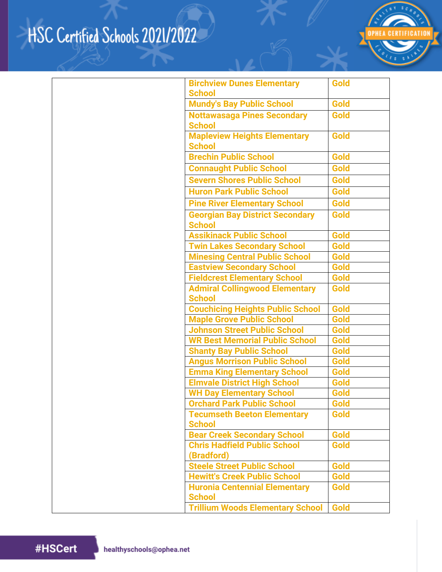

| <b>Birchview Dunes Elementary</b><br><b>School</b>                   | <b>Gold</b> |
|----------------------------------------------------------------------|-------------|
| <b>Mundy's Bay Public School</b>                                     | <b>Gold</b> |
| <b>Nottawasaga Pines Secondary</b>                                   | Gold        |
| <b>School</b>                                                        |             |
| <b>Mapleview Heights Elementary</b>                                  | <b>Gold</b> |
| <b>School</b>                                                        |             |
| <b>Brechin Public School</b>                                         | Gold        |
| <b>Connaught Public School</b>                                       | Gold        |
| <b>Severn Shores Public School</b>                                   | <b>Gold</b> |
| <b>Huron Park Public School</b>                                      | <b>Gold</b> |
| <b>Pine River Elementary School</b>                                  | <b>Gold</b> |
| <b>Georgian Bay District Secondary</b>                               | <b>Gold</b> |
| <b>School</b>                                                        |             |
| <b>Assikinack Public School</b>                                      | Gold        |
| <b>Twin Lakes Secondary School</b>                                   | Gold        |
| <b>Minesing Central Public School</b>                                | <b>Gold</b> |
| <b>Eastview Secondary School</b>                                     | <b>Gold</b> |
| <b>Fieldcrest Elementary School</b>                                  | Gold        |
| <b>Admiral Collingwood Elementary</b>                                | Gold        |
| <b>School</b>                                                        |             |
| <b>Couchicing Heights Public School</b>                              | <b>Gold</b> |
| <b>Maple Grove Public School</b>                                     | Gold        |
| <b>Johnson Street Public School</b>                                  | Gold        |
| <b>WR Best Memorial Public School</b>                                | Gold        |
| <b>Shanty Bay Public School</b>                                      | Gold        |
| <b>Angus Morrison Public School</b>                                  | Gold        |
| <b>Emma King Elementary School</b>                                   | Gold        |
| <b>Elmvale District High School</b>                                  | Gold        |
| <b>WH Day Elementary School</b><br><b>Orchard Park Public School</b> | Gold        |
|                                                                      | Gold        |
| <b>Tecumseth Beeton Elementary</b><br><b>School</b>                  | <b>Gold</b> |
| <b>Bear Creek Secondary School</b>                                   | Gold        |
| <b>Chris Hadfield Public School</b>                                  | Gold        |
| (Bradford)                                                           |             |
| <b>Steele Street Public School</b>                                   | Gold        |
| <b>Hewitt's Creek Public School</b>                                  | Gold        |
| <b>Huronia Centennial Elementary</b>                                 | Gold        |
| <b>School</b>                                                        |             |
| <b>Trillium Woods Elementary School</b>                              | Gold        |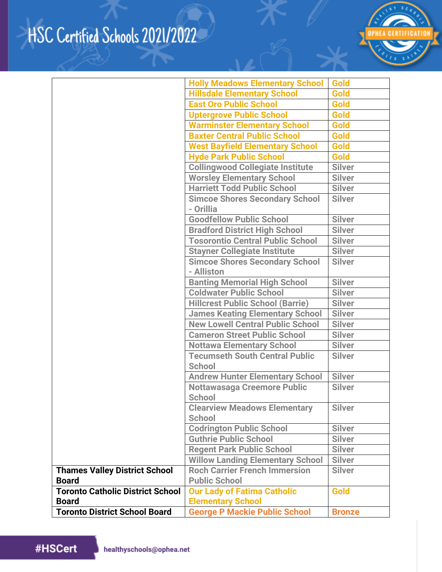

|                                         | <b>Holly Meadows Elementary School</b>                 | Gold          |
|-----------------------------------------|--------------------------------------------------------|---------------|
|                                         | <b>Hillsdale Elementary School</b>                     | Gold          |
|                                         | <b>East Oro Public School</b>                          | Gold          |
|                                         | <b>Uptergrove Public School</b>                        | Gold          |
|                                         | <b>Warminster Elementary School</b>                    | Gold          |
|                                         | <b>Baxter Central Public School</b>                    | Gold          |
|                                         | <b>West Bayfield Elementary School</b>                 | <b>Gold</b>   |
|                                         | <b>Hyde Park Public School</b>                         | <b>Gold</b>   |
|                                         | <b>Collingwood Collegiate Institute</b>                | <b>Silver</b> |
|                                         | <b>Worsley Elementary School</b>                       | <b>Silver</b> |
|                                         | <b>Harriett Todd Public School</b>                     | <b>Silver</b> |
|                                         | <b>Simcoe Shores Secondary School</b><br>- Orillia     | <b>Silver</b> |
|                                         | <b>Goodfellow Public School</b>                        | <b>Silver</b> |
|                                         | <b>Bradford District High School</b>                   | <b>Silver</b> |
|                                         | <b>Tosorontio Central Public School</b>                | <b>Silver</b> |
|                                         | <b>Stayner Collegiate Institute</b>                    | <b>Silver</b> |
|                                         | <b>Simcoe Shores Secondary School</b>                  | <b>Silver</b> |
|                                         | - Alliston                                             |               |
|                                         | <b>Banting Memorial High School</b>                    | <b>Silver</b> |
|                                         | <b>Coldwater Public School</b>                         | <b>Silver</b> |
|                                         | <b>Hillcrest Public School (Barrie)</b>                | <b>Silver</b> |
|                                         | <b>James Keating Elementary School</b>                 | <b>Silver</b> |
|                                         | <b>New Lowell Central Public School</b>                | <b>Silver</b> |
|                                         | <b>Cameron Street Public School</b>                    | <b>Silver</b> |
|                                         | <b>Nottawa Elementary School</b>                       | <b>Silver</b> |
|                                         | <b>Tecumseth South Central Public</b><br><b>School</b> | <b>Silver</b> |
|                                         | <b>Andrew Hunter Elementary School</b>                 | <b>Silver</b> |
|                                         | <b>Nottawasaga Creemore Public</b><br><b>School</b>    | <b>Silver</b> |
|                                         | <b>Clearview Meadows Elementary</b><br><b>School</b>   | <b>Silver</b> |
|                                         | <b>Codrington Public School</b>                        | <b>Silver</b> |
|                                         | <b>Guthrie Public School</b>                           | <b>Silver</b> |
|                                         | <b>Regent Park Public School</b>                       | <b>Silver</b> |
|                                         | <b>Willow Landing Elementary School</b>                | <b>Silver</b> |
| <b>Thames Valley District School</b>    | <b>Roch Carrier French Immersion</b>                   | <b>Silver</b> |
| <b>Board</b>                            | <b>Public School</b>                                   |               |
| <b>Toronto Catholic District School</b> | <b>Our Lady of Fatima Catholic</b>                     | Gold          |
| <b>Board</b>                            | <b>Elementary School</b>                               |               |
| <b>Toronto District School Board</b>    | <b>George P Mackie Public School</b>                   | <b>Bronze</b> |